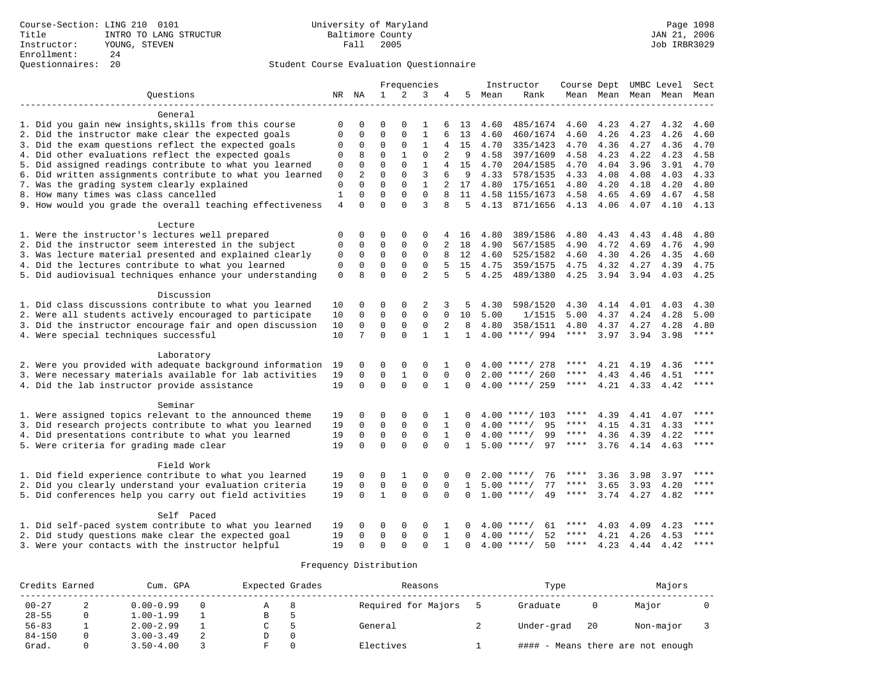| Ouestions<br>2<br>NR NA<br>$\mathbf{1}$<br>3<br>5.<br>Rank<br>Mean<br>Mean Mean<br>Mean<br>Mean<br>4<br>Mean<br>General<br>1. Did you gain new insights, skills from this course<br>$\Omega$<br>$\Omega$<br>$\Omega$<br>$\mathbf{1}$<br>4.60<br>485/1674<br>4.60<br>4.23<br>4.27<br>4.32<br>4.60<br>0<br>6<br>13<br>$\Omega$<br>$\Omega$<br>$\mathbf{1}$<br>4.26<br>2. Did the instructor make clear the expected goals<br>$\Omega$<br>0<br>6<br>13<br>4.60<br>460/1674<br>4.60<br>4.23<br>4.26<br>4.60<br>$\mathbf{1}$<br>3. Did the exam questions reflect the expected goals<br>$\mathbf 0$<br>$\Omega$<br>0<br>15<br>4.70<br>335/1423<br>4.70<br>4.36<br>4.27<br>4.36<br>4.70<br>0<br>$\mathbf{1}$<br>$\Omega$<br>4. Did other evaluations reflect the expected goals<br>8<br>$\Omega$<br>$\overline{a}$<br>4.22<br>4.23<br>$\Omega$<br>9<br>4.58<br>397/1609<br>4.58<br>4.23<br>4.58<br>$\Omega$<br>5. Did assigned readings contribute to what you learned<br>$\Omega$<br>$\Omega$<br>$\mathbf{1}$<br>$\Omega$<br>15<br>4.70<br>204/1585<br>4.70<br>4.04<br>3.96<br>3.91<br>4.70<br>4<br>6. Did written assignments contribute to what you learned<br>$\overline{2}$<br>$\Omega$<br>3<br>0<br>6<br>9<br>4.33<br>578/1535<br>4.33<br>4.08<br>4.08<br>4.03<br>4.33<br>0<br>7. Was the grading system clearly explained<br>$\mathbf 0$<br>$\Omega$<br>$\Omega$<br>$\Omega$<br>$\mathbf{1}$<br>$\overline{a}$<br>17<br>4.80<br>175/1651<br>4.80<br>4.20<br>4.18<br>4.20<br>4.80<br>$\Omega$<br>8. How many times was class cancelled<br>$\mathbf{1}$<br>$\Omega$<br>$\Omega$<br>$\Omega$<br>11<br>4.58 1155/1673<br>4.58<br>4.65<br>4.69<br>4.67<br>4.58<br>$\Omega$<br>$\Omega$<br>3<br>9. How would you grade the overall teaching effectiveness<br>$\overline{4}$<br>$\Omega$<br>8<br>5<br>4.13<br>871/1656<br>4.13 4.06<br>4.07<br>4.10<br>4.13<br>Lecture<br>1. Were the instructor's lectures well prepared<br>389/1586<br>$\mathbf 0$<br>0<br>0<br>$\mathbf 0$<br>$\mathbf 0$<br>4.80<br>4.80<br>4.43<br>4.43<br>4.80<br>4 16<br>4.48<br>2. Did the instructor seem interested in the subject<br>$\Omega$<br>$\Omega$<br>$\Omega$<br>$\mathbf 0$<br>2<br>4.90<br>4.72<br>$\Omega$<br>18<br>4.90<br>567/1585<br>4.69<br>4.76<br>4.90<br>$\mathbf 0$<br>$\mathbf 0$<br>$\mathbf 0$<br>$\Omega$<br>3. Was lecture material presented and explained clearly<br>0<br>8<br>12<br>4.60<br>525/1582<br>4.60<br>4.30<br>4.26<br>4.35<br>4.60<br>0<br>0<br>$\mathbf 0$<br>4. Did the lectures contribute to what you learned<br>0<br>0<br>5<br>15<br>4.75<br>359/1575<br>4.75<br>4.32<br>4.27<br>4.39<br>4.75<br>$\overline{a}$<br>5. Did audiovisual techniques enhance your understanding<br>$\Omega$<br>$\Omega$<br>$\mathbf 0$<br>$\mathsf{R}$<br>5<br>5<br>4.25<br>489/1380<br>4.25<br>3.94<br>3.94<br>4.03<br>4.25<br>Discussion<br>1. Did class discussions contribute to what you learned<br>0<br>0<br>2<br>598/1520<br>4.30<br>10<br>0<br>3<br>5<br>4.30<br>4.14<br>4.01<br>4.03<br>4.30<br>2. Were all students actively encouraged to participate<br>$\Omega$<br>0<br>$\mathbf 0$<br>10<br>$\Omega$<br>10<br>5.00<br>1/1515<br>5.00<br>4.37<br>4.24<br>4.28<br>5.00<br>$\Omega$<br>3. Did the instructor encourage fair and open discussion<br>$\mathbf 0$<br>$\mathbf 0$<br>0<br>$\mathbf 0$<br>4.80<br>10<br>2<br>8<br>4.80<br>358/1511<br>4.37<br>4.27<br>4.28<br>4.80<br>$\Omega$<br>$\mathbf{1}$<br>$\Omega$<br>$\mathbf{1}$<br>4. Were special techniques successful<br>10<br>7<br>$\mathbf{1}$<br>$4.00$ ****/ 994<br>$***$ * * *<br>3.97<br>3.94<br>****<br>3.98<br>Laboratory<br>2. Were you provided with adequate background information<br>19<br>0<br>$\Omega$<br>$\Omega$<br>$\Omega$<br>$4.00$ ****/ 278<br>4.21<br>4.19<br>0<br>4.36<br>$\mathbf 0$<br>$\mathbf{1}$<br>$\mathbf 0$<br>3. Were necessary materials available for lab activities<br>19<br>0<br>$\Omega$<br>4.46<br>****<br>$\Omega$<br>$2.00$ ****/ 260<br>****<br>4.43<br>4.51<br>$\Omega$<br>$\Omega$<br>$\Omega$<br>4. Did the lab instructor provide assistance<br>19<br>$4.00$ ****/ 259<br>4.21<br>$***$<br>$\Omega$<br>$\mathbf{1}$<br>$\Omega$<br>****<br>4.33<br>4.42<br>Seminar<br>1. Were assigned topics relevant to the announced theme<br>4.39<br>19<br>0<br>0<br>0<br>0<br>4.00 ****/ 103<br>4.41<br>4.07<br>1<br>0<br>$\mathbf 0$<br>$\mathbf 0$<br>$\mathbf 0$<br>****<br>3. Did research projects contribute to what you learned<br>19<br>$\mathbf 0$<br>$\mathbf{1}$<br>95<br>4.31<br>4.33<br>$\Omega$<br>4.00<br>$***/$<br>****<br>4.15<br>$\Omega$<br>$\mathbf 0$<br>$\Omega$<br>$***$<br>4. Did presentations contribute to what you learned<br>19<br>$\Omega$<br>$\mathbf{1}$<br>$4.00$ ****/<br>99<br>$***$ * * *<br>4.36<br>4.39 4.22<br>$\Omega$<br>$\Omega$<br>$\Omega$<br>5. Were criteria for grading made clear<br>$\Omega$<br>$\Omega$<br>$\Omega$<br>$5.00$ ****/<br>97<br>$* * * * *$<br>19<br>$\mathbf{1}$<br>****<br>3.76<br>4.14 4.63<br>Field Work<br>****<br>1. Did field experience contribute to what you learned<br>19<br>$\Omega$<br>1<br>$\Omega$<br>0<br>$\Omega$<br>76<br>3.36<br>3.98<br>3.97<br>0<br>2.00<br>****/<br>2. Did you clearly understand your evaluation criteria<br>19<br>0<br>$\Omega$<br>$\mathsf 0$<br>$\mathbf 0$<br>77<br>3.65<br>4.20<br>****<br>$\Omega$<br>1<br>5.00<br>****<br>3.93<br>$***$ /<br>5. Did conferences help you carry out field activities<br>$\Omega$<br>$\mathbf{1}$<br>$\Omega$<br>$\Omega$<br>$***$ * * *<br>19<br>$\Omega$<br>1.00<br>49<br>3.74<br>4.27<br>4.82<br>$\Omega$<br>$***$ /<br>****<br>Self Paced<br>****<br>$* * * * ,$ |                                                         |    |   | Frequencies |          |          |  |   |      | Instructor |      | Course Dept UMBC Level |      | Sect |
|--------------------------------------------------------------------------------------------------------------------------------------------------------------------------------------------------------------------------------------------------------------------------------------------------------------------------------------------------------------------------------------------------------------------------------------------------------------------------------------------------------------------------------------------------------------------------------------------------------------------------------------------------------------------------------------------------------------------------------------------------------------------------------------------------------------------------------------------------------------------------------------------------------------------------------------------------------------------------------------------------------------------------------------------------------------------------------------------------------------------------------------------------------------------------------------------------------------------------------------------------------------------------------------------------------------------------------------------------------------------------------------------------------------------------------------------------------------------------------------------------------------------------------------------------------------------------------------------------------------------------------------------------------------------------------------------------------------------------------------------------------------------------------------------------------------------------------------------------------------------------------------------------------------------------------------------------------------------------------------------------------------------------------------------------------------------------------------------------------------------------------------------------------------------------------------------------------------------------------------------------------------------------------------------------------------------------------------------------------------------------------------------------------------------------------------------------------------------------------------------------------------------------------------------------------------------------------------------------------------------------------------------------------------------------------------------------------------------------------------------------------------------------------------------------------------------------------------------------------------------------------------------------------------------------------------------------------------------------------------------------------------------------------------------------------------------------------------------------------------------------------------------------------------------------------------------------------------------------------------------------------------------------------------------------------------------------------------------------------------------------------------------------------------------------------------------------------------------------------------------------------------------------------------------------------------------------------------------------------------------------------------------------------------------------------------------------------------------------------------------------------------------------------------------------------------------------------------------------------------------------------------------------------------------------------------------------------------------------------------------------------------------------------------------------------------------------------------------------------------------------------------------------------------------------------------------------------------------------------------------------------------------------------------------------------------------------------------------------------------------------------------------------------------------------------------------------------------------------------------------------------------------------------------------------------------------------------------------------------------------------------------------------------------------------------------------------------------------------------------------------------------------------------------------------------------------------------------------------------------------------------------------------------------------------------------------------------------------------------------------------------------------------------------------------------------------------------------------------------------------------------------------------------------------------------------------------------------------------------------------------------------------------------------------------------------------------------------------------------------------------------------------------------------------------------------------------------------------------------------------------------------------------------------------------------------------------------------------------------------------|---------------------------------------------------------|----|---|-------------|----------|----------|--|---|------|------------|------|------------------------|------|------|
|                                                                                                                                                                                                                                                                                                                                                                                                                                                                                                                                                                                                                                                                                                                                                                                                                                                                                                                                                                                                                                                                                                                                                                                                                                                                                                                                                                                                                                                                                                                                                                                                                                                                                                                                                                                                                                                                                                                                                                                                                                                                                                                                                                                                                                                                                                                                                                                                                                                                                                                                                                                                                                                                                                                                                                                                                                                                                                                                                                                                                                                                                                                                                                                                                                                                                                                                                                                                                                                                                                                                                                                                                                                                                                                                                                                                                                                                                                                                                                                                                                                                                                                                                                                                                                                                                                                                                                                                                                                                                                                                                                                                                                                                                                                                                                                                                                                                                                                                                                                                                                                                                                                                                                                                                                                                                                                                                                                                                                                                                                                                                                                                                    |                                                         |    |   |             |          |          |  |   |      |            |      |                        |      |      |
|                                                                                                                                                                                                                                                                                                                                                                                                                                                                                                                                                                                                                                                                                                                                                                                                                                                                                                                                                                                                                                                                                                                                                                                                                                                                                                                                                                                                                                                                                                                                                                                                                                                                                                                                                                                                                                                                                                                                                                                                                                                                                                                                                                                                                                                                                                                                                                                                                                                                                                                                                                                                                                                                                                                                                                                                                                                                                                                                                                                                                                                                                                                                                                                                                                                                                                                                                                                                                                                                                                                                                                                                                                                                                                                                                                                                                                                                                                                                                                                                                                                                                                                                                                                                                                                                                                                                                                                                                                                                                                                                                                                                                                                                                                                                                                                                                                                                                                                                                                                                                                                                                                                                                                                                                                                                                                                                                                                                                                                                                                                                                                                                                    |                                                         |    |   |             |          |          |  |   |      |            |      |                        |      |      |
|                                                                                                                                                                                                                                                                                                                                                                                                                                                                                                                                                                                                                                                                                                                                                                                                                                                                                                                                                                                                                                                                                                                                                                                                                                                                                                                                                                                                                                                                                                                                                                                                                                                                                                                                                                                                                                                                                                                                                                                                                                                                                                                                                                                                                                                                                                                                                                                                                                                                                                                                                                                                                                                                                                                                                                                                                                                                                                                                                                                                                                                                                                                                                                                                                                                                                                                                                                                                                                                                                                                                                                                                                                                                                                                                                                                                                                                                                                                                                                                                                                                                                                                                                                                                                                                                                                                                                                                                                                                                                                                                                                                                                                                                                                                                                                                                                                                                                                                                                                                                                                                                                                                                                                                                                                                                                                                                                                                                                                                                                                                                                                                                                    |                                                         |    |   |             |          |          |  |   |      |            |      |                        |      |      |
|                                                                                                                                                                                                                                                                                                                                                                                                                                                                                                                                                                                                                                                                                                                                                                                                                                                                                                                                                                                                                                                                                                                                                                                                                                                                                                                                                                                                                                                                                                                                                                                                                                                                                                                                                                                                                                                                                                                                                                                                                                                                                                                                                                                                                                                                                                                                                                                                                                                                                                                                                                                                                                                                                                                                                                                                                                                                                                                                                                                                                                                                                                                                                                                                                                                                                                                                                                                                                                                                                                                                                                                                                                                                                                                                                                                                                                                                                                                                                                                                                                                                                                                                                                                                                                                                                                                                                                                                                                                                                                                                                                                                                                                                                                                                                                                                                                                                                                                                                                                                                                                                                                                                                                                                                                                                                                                                                                                                                                                                                                                                                                                                                    |                                                         |    |   |             |          |          |  |   |      |            |      |                        |      |      |
|                                                                                                                                                                                                                                                                                                                                                                                                                                                                                                                                                                                                                                                                                                                                                                                                                                                                                                                                                                                                                                                                                                                                                                                                                                                                                                                                                                                                                                                                                                                                                                                                                                                                                                                                                                                                                                                                                                                                                                                                                                                                                                                                                                                                                                                                                                                                                                                                                                                                                                                                                                                                                                                                                                                                                                                                                                                                                                                                                                                                                                                                                                                                                                                                                                                                                                                                                                                                                                                                                                                                                                                                                                                                                                                                                                                                                                                                                                                                                                                                                                                                                                                                                                                                                                                                                                                                                                                                                                                                                                                                                                                                                                                                                                                                                                                                                                                                                                                                                                                                                                                                                                                                                                                                                                                                                                                                                                                                                                                                                                                                                                                                                    |                                                         |    |   |             |          |          |  |   |      |            |      |                        |      |      |
|                                                                                                                                                                                                                                                                                                                                                                                                                                                                                                                                                                                                                                                                                                                                                                                                                                                                                                                                                                                                                                                                                                                                                                                                                                                                                                                                                                                                                                                                                                                                                                                                                                                                                                                                                                                                                                                                                                                                                                                                                                                                                                                                                                                                                                                                                                                                                                                                                                                                                                                                                                                                                                                                                                                                                                                                                                                                                                                                                                                                                                                                                                                                                                                                                                                                                                                                                                                                                                                                                                                                                                                                                                                                                                                                                                                                                                                                                                                                                                                                                                                                                                                                                                                                                                                                                                                                                                                                                                                                                                                                                                                                                                                                                                                                                                                                                                                                                                                                                                                                                                                                                                                                                                                                                                                                                                                                                                                                                                                                                                                                                                                                                    |                                                         |    |   |             |          |          |  |   |      |            |      |                        |      |      |
|                                                                                                                                                                                                                                                                                                                                                                                                                                                                                                                                                                                                                                                                                                                                                                                                                                                                                                                                                                                                                                                                                                                                                                                                                                                                                                                                                                                                                                                                                                                                                                                                                                                                                                                                                                                                                                                                                                                                                                                                                                                                                                                                                                                                                                                                                                                                                                                                                                                                                                                                                                                                                                                                                                                                                                                                                                                                                                                                                                                                                                                                                                                                                                                                                                                                                                                                                                                                                                                                                                                                                                                                                                                                                                                                                                                                                                                                                                                                                                                                                                                                                                                                                                                                                                                                                                                                                                                                                                                                                                                                                                                                                                                                                                                                                                                                                                                                                                                                                                                                                                                                                                                                                                                                                                                                                                                                                                                                                                                                                                                                                                                                                    |                                                         |    |   |             |          |          |  |   |      |            |      |                        |      |      |
|                                                                                                                                                                                                                                                                                                                                                                                                                                                                                                                                                                                                                                                                                                                                                                                                                                                                                                                                                                                                                                                                                                                                                                                                                                                                                                                                                                                                                                                                                                                                                                                                                                                                                                                                                                                                                                                                                                                                                                                                                                                                                                                                                                                                                                                                                                                                                                                                                                                                                                                                                                                                                                                                                                                                                                                                                                                                                                                                                                                                                                                                                                                                                                                                                                                                                                                                                                                                                                                                                                                                                                                                                                                                                                                                                                                                                                                                                                                                                                                                                                                                                                                                                                                                                                                                                                                                                                                                                                                                                                                                                                                                                                                                                                                                                                                                                                                                                                                                                                                                                                                                                                                                                                                                                                                                                                                                                                                                                                                                                                                                                                                                                    |                                                         |    |   |             |          |          |  |   |      |            |      |                        |      |      |
|                                                                                                                                                                                                                                                                                                                                                                                                                                                                                                                                                                                                                                                                                                                                                                                                                                                                                                                                                                                                                                                                                                                                                                                                                                                                                                                                                                                                                                                                                                                                                                                                                                                                                                                                                                                                                                                                                                                                                                                                                                                                                                                                                                                                                                                                                                                                                                                                                                                                                                                                                                                                                                                                                                                                                                                                                                                                                                                                                                                                                                                                                                                                                                                                                                                                                                                                                                                                                                                                                                                                                                                                                                                                                                                                                                                                                                                                                                                                                                                                                                                                                                                                                                                                                                                                                                                                                                                                                                                                                                                                                                                                                                                                                                                                                                                                                                                                                                                                                                                                                                                                                                                                                                                                                                                                                                                                                                                                                                                                                                                                                                                                                    |                                                         |    |   |             |          |          |  |   |      |            |      |                        |      |      |
|                                                                                                                                                                                                                                                                                                                                                                                                                                                                                                                                                                                                                                                                                                                                                                                                                                                                                                                                                                                                                                                                                                                                                                                                                                                                                                                                                                                                                                                                                                                                                                                                                                                                                                                                                                                                                                                                                                                                                                                                                                                                                                                                                                                                                                                                                                                                                                                                                                                                                                                                                                                                                                                                                                                                                                                                                                                                                                                                                                                                                                                                                                                                                                                                                                                                                                                                                                                                                                                                                                                                                                                                                                                                                                                                                                                                                                                                                                                                                                                                                                                                                                                                                                                                                                                                                                                                                                                                                                                                                                                                                                                                                                                                                                                                                                                                                                                                                                                                                                                                                                                                                                                                                                                                                                                                                                                                                                                                                                                                                                                                                                                                                    |                                                         |    |   |             |          |          |  |   |      |            |      |                        |      |      |
|                                                                                                                                                                                                                                                                                                                                                                                                                                                                                                                                                                                                                                                                                                                                                                                                                                                                                                                                                                                                                                                                                                                                                                                                                                                                                                                                                                                                                                                                                                                                                                                                                                                                                                                                                                                                                                                                                                                                                                                                                                                                                                                                                                                                                                                                                                                                                                                                                                                                                                                                                                                                                                                                                                                                                                                                                                                                                                                                                                                                                                                                                                                                                                                                                                                                                                                                                                                                                                                                                                                                                                                                                                                                                                                                                                                                                                                                                                                                                                                                                                                                                                                                                                                                                                                                                                                                                                                                                                                                                                                                                                                                                                                                                                                                                                                                                                                                                                                                                                                                                                                                                                                                                                                                                                                                                                                                                                                                                                                                                                                                                                                                                    |                                                         |    |   |             |          |          |  |   |      |            |      |                        |      |      |
|                                                                                                                                                                                                                                                                                                                                                                                                                                                                                                                                                                                                                                                                                                                                                                                                                                                                                                                                                                                                                                                                                                                                                                                                                                                                                                                                                                                                                                                                                                                                                                                                                                                                                                                                                                                                                                                                                                                                                                                                                                                                                                                                                                                                                                                                                                                                                                                                                                                                                                                                                                                                                                                                                                                                                                                                                                                                                                                                                                                                                                                                                                                                                                                                                                                                                                                                                                                                                                                                                                                                                                                                                                                                                                                                                                                                                                                                                                                                                                                                                                                                                                                                                                                                                                                                                                                                                                                                                                                                                                                                                                                                                                                                                                                                                                                                                                                                                                                                                                                                                                                                                                                                                                                                                                                                                                                                                                                                                                                                                                                                                                                                                    |                                                         |    |   |             |          |          |  |   |      |            |      |                        |      |      |
|                                                                                                                                                                                                                                                                                                                                                                                                                                                                                                                                                                                                                                                                                                                                                                                                                                                                                                                                                                                                                                                                                                                                                                                                                                                                                                                                                                                                                                                                                                                                                                                                                                                                                                                                                                                                                                                                                                                                                                                                                                                                                                                                                                                                                                                                                                                                                                                                                                                                                                                                                                                                                                                                                                                                                                                                                                                                                                                                                                                                                                                                                                                                                                                                                                                                                                                                                                                                                                                                                                                                                                                                                                                                                                                                                                                                                                                                                                                                                                                                                                                                                                                                                                                                                                                                                                                                                                                                                                                                                                                                                                                                                                                                                                                                                                                                                                                                                                                                                                                                                                                                                                                                                                                                                                                                                                                                                                                                                                                                                                                                                                                                                    |                                                         |    |   |             |          |          |  |   |      |            |      |                        |      |      |
|                                                                                                                                                                                                                                                                                                                                                                                                                                                                                                                                                                                                                                                                                                                                                                                                                                                                                                                                                                                                                                                                                                                                                                                                                                                                                                                                                                                                                                                                                                                                                                                                                                                                                                                                                                                                                                                                                                                                                                                                                                                                                                                                                                                                                                                                                                                                                                                                                                                                                                                                                                                                                                                                                                                                                                                                                                                                                                                                                                                                                                                                                                                                                                                                                                                                                                                                                                                                                                                                                                                                                                                                                                                                                                                                                                                                                                                                                                                                                                                                                                                                                                                                                                                                                                                                                                                                                                                                                                                                                                                                                                                                                                                                                                                                                                                                                                                                                                                                                                                                                                                                                                                                                                                                                                                                                                                                                                                                                                                                                                                                                                                                                    |                                                         |    |   |             |          |          |  |   |      |            |      |                        |      |      |
|                                                                                                                                                                                                                                                                                                                                                                                                                                                                                                                                                                                                                                                                                                                                                                                                                                                                                                                                                                                                                                                                                                                                                                                                                                                                                                                                                                                                                                                                                                                                                                                                                                                                                                                                                                                                                                                                                                                                                                                                                                                                                                                                                                                                                                                                                                                                                                                                                                                                                                                                                                                                                                                                                                                                                                                                                                                                                                                                                                                                                                                                                                                                                                                                                                                                                                                                                                                                                                                                                                                                                                                                                                                                                                                                                                                                                                                                                                                                                                                                                                                                                                                                                                                                                                                                                                                                                                                                                                                                                                                                                                                                                                                                                                                                                                                                                                                                                                                                                                                                                                                                                                                                                                                                                                                                                                                                                                                                                                                                                                                                                                                                                    |                                                         |    |   |             |          |          |  |   |      |            |      |                        |      |      |
|                                                                                                                                                                                                                                                                                                                                                                                                                                                                                                                                                                                                                                                                                                                                                                                                                                                                                                                                                                                                                                                                                                                                                                                                                                                                                                                                                                                                                                                                                                                                                                                                                                                                                                                                                                                                                                                                                                                                                                                                                                                                                                                                                                                                                                                                                                                                                                                                                                                                                                                                                                                                                                                                                                                                                                                                                                                                                                                                                                                                                                                                                                                                                                                                                                                                                                                                                                                                                                                                                                                                                                                                                                                                                                                                                                                                                                                                                                                                                                                                                                                                                                                                                                                                                                                                                                                                                                                                                                                                                                                                                                                                                                                                                                                                                                                                                                                                                                                                                                                                                                                                                                                                                                                                                                                                                                                                                                                                                                                                                                                                                                                                                    |                                                         |    |   |             |          |          |  |   |      |            |      |                        |      |      |
|                                                                                                                                                                                                                                                                                                                                                                                                                                                                                                                                                                                                                                                                                                                                                                                                                                                                                                                                                                                                                                                                                                                                                                                                                                                                                                                                                                                                                                                                                                                                                                                                                                                                                                                                                                                                                                                                                                                                                                                                                                                                                                                                                                                                                                                                                                                                                                                                                                                                                                                                                                                                                                                                                                                                                                                                                                                                                                                                                                                                                                                                                                                                                                                                                                                                                                                                                                                                                                                                                                                                                                                                                                                                                                                                                                                                                                                                                                                                                                                                                                                                                                                                                                                                                                                                                                                                                                                                                                                                                                                                                                                                                                                                                                                                                                                                                                                                                                                                                                                                                                                                                                                                                                                                                                                                                                                                                                                                                                                                                                                                                                                                                    |                                                         |    |   |             |          |          |  |   |      |            |      |                        |      |      |
|                                                                                                                                                                                                                                                                                                                                                                                                                                                                                                                                                                                                                                                                                                                                                                                                                                                                                                                                                                                                                                                                                                                                                                                                                                                                                                                                                                                                                                                                                                                                                                                                                                                                                                                                                                                                                                                                                                                                                                                                                                                                                                                                                                                                                                                                                                                                                                                                                                                                                                                                                                                                                                                                                                                                                                                                                                                                                                                                                                                                                                                                                                                                                                                                                                                                                                                                                                                                                                                                                                                                                                                                                                                                                                                                                                                                                                                                                                                                                                                                                                                                                                                                                                                                                                                                                                                                                                                                                                                                                                                                                                                                                                                                                                                                                                                                                                                                                                                                                                                                                                                                                                                                                                                                                                                                                                                                                                                                                                                                                                                                                                                                                    |                                                         |    |   |             |          |          |  |   |      |            |      |                        |      |      |
|                                                                                                                                                                                                                                                                                                                                                                                                                                                                                                                                                                                                                                                                                                                                                                                                                                                                                                                                                                                                                                                                                                                                                                                                                                                                                                                                                                                                                                                                                                                                                                                                                                                                                                                                                                                                                                                                                                                                                                                                                                                                                                                                                                                                                                                                                                                                                                                                                                                                                                                                                                                                                                                                                                                                                                                                                                                                                                                                                                                                                                                                                                                                                                                                                                                                                                                                                                                                                                                                                                                                                                                                                                                                                                                                                                                                                                                                                                                                                                                                                                                                                                                                                                                                                                                                                                                                                                                                                                                                                                                                                                                                                                                                                                                                                                                                                                                                                                                                                                                                                                                                                                                                                                                                                                                                                                                                                                                                                                                                                                                                                                                                                    |                                                         |    |   |             |          |          |  |   |      |            |      |                        |      |      |
|                                                                                                                                                                                                                                                                                                                                                                                                                                                                                                                                                                                                                                                                                                                                                                                                                                                                                                                                                                                                                                                                                                                                                                                                                                                                                                                                                                                                                                                                                                                                                                                                                                                                                                                                                                                                                                                                                                                                                                                                                                                                                                                                                                                                                                                                                                                                                                                                                                                                                                                                                                                                                                                                                                                                                                                                                                                                                                                                                                                                                                                                                                                                                                                                                                                                                                                                                                                                                                                                                                                                                                                                                                                                                                                                                                                                                                                                                                                                                                                                                                                                                                                                                                                                                                                                                                                                                                                                                                                                                                                                                                                                                                                                                                                                                                                                                                                                                                                                                                                                                                                                                                                                                                                                                                                                                                                                                                                                                                                                                                                                                                                                                    |                                                         |    |   |             |          |          |  |   |      |            |      |                        |      |      |
|                                                                                                                                                                                                                                                                                                                                                                                                                                                                                                                                                                                                                                                                                                                                                                                                                                                                                                                                                                                                                                                                                                                                                                                                                                                                                                                                                                                                                                                                                                                                                                                                                                                                                                                                                                                                                                                                                                                                                                                                                                                                                                                                                                                                                                                                                                                                                                                                                                                                                                                                                                                                                                                                                                                                                                                                                                                                                                                                                                                                                                                                                                                                                                                                                                                                                                                                                                                                                                                                                                                                                                                                                                                                                                                                                                                                                                                                                                                                                                                                                                                                                                                                                                                                                                                                                                                                                                                                                                                                                                                                                                                                                                                                                                                                                                                                                                                                                                                                                                                                                                                                                                                                                                                                                                                                                                                                                                                                                                                                                                                                                                                                                    |                                                         |    |   |             |          |          |  |   |      |            |      |                        |      |      |
|                                                                                                                                                                                                                                                                                                                                                                                                                                                                                                                                                                                                                                                                                                                                                                                                                                                                                                                                                                                                                                                                                                                                                                                                                                                                                                                                                                                                                                                                                                                                                                                                                                                                                                                                                                                                                                                                                                                                                                                                                                                                                                                                                                                                                                                                                                                                                                                                                                                                                                                                                                                                                                                                                                                                                                                                                                                                                                                                                                                                                                                                                                                                                                                                                                                                                                                                                                                                                                                                                                                                                                                                                                                                                                                                                                                                                                                                                                                                                                                                                                                                                                                                                                                                                                                                                                                                                                                                                                                                                                                                                                                                                                                                                                                                                                                                                                                                                                                                                                                                                                                                                                                                                                                                                                                                                                                                                                                                                                                                                                                                                                                                                    |                                                         |    |   |             |          |          |  |   |      |            |      |                        |      |      |
|                                                                                                                                                                                                                                                                                                                                                                                                                                                                                                                                                                                                                                                                                                                                                                                                                                                                                                                                                                                                                                                                                                                                                                                                                                                                                                                                                                                                                                                                                                                                                                                                                                                                                                                                                                                                                                                                                                                                                                                                                                                                                                                                                                                                                                                                                                                                                                                                                                                                                                                                                                                                                                                                                                                                                                                                                                                                                                                                                                                                                                                                                                                                                                                                                                                                                                                                                                                                                                                                                                                                                                                                                                                                                                                                                                                                                                                                                                                                                                                                                                                                                                                                                                                                                                                                                                                                                                                                                                                                                                                                                                                                                                                                                                                                                                                                                                                                                                                                                                                                                                                                                                                                                                                                                                                                                                                                                                                                                                                                                                                                                                                                                    |                                                         |    |   |             |          |          |  |   |      |            |      |                        |      |      |
|                                                                                                                                                                                                                                                                                                                                                                                                                                                                                                                                                                                                                                                                                                                                                                                                                                                                                                                                                                                                                                                                                                                                                                                                                                                                                                                                                                                                                                                                                                                                                                                                                                                                                                                                                                                                                                                                                                                                                                                                                                                                                                                                                                                                                                                                                                                                                                                                                                                                                                                                                                                                                                                                                                                                                                                                                                                                                                                                                                                                                                                                                                                                                                                                                                                                                                                                                                                                                                                                                                                                                                                                                                                                                                                                                                                                                                                                                                                                                                                                                                                                                                                                                                                                                                                                                                                                                                                                                                                                                                                                                                                                                                                                                                                                                                                                                                                                                                                                                                                                                                                                                                                                                                                                                                                                                                                                                                                                                                                                                                                                                                                                                    |                                                         |    |   |             |          |          |  |   |      |            |      |                        |      |      |
|                                                                                                                                                                                                                                                                                                                                                                                                                                                                                                                                                                                                                                                                                                                                                                                                                                                                                                                                                                                                                                                                                                                                                                                                                                                                                                                                                                                                                                                                                                                                                                                                                                                                                                                                                                                                                                                                                                                                                                                                                                                                                                                                                                                                                                                                                                                                                                                                                                                                                                                                                                                                                                                                                                                                                                                                                                                                                                                                                                                                                                                                                                                                                                                                                                                                                                                                                                                                                                                                                                                                                                                                                                                                                                                                                                                                                                                                                                                                                                                                                                                                                                                                                                                                                                                                                                                                                                                                                                                                                                                                                                                                                                                                                                                                                                                                                                                                                                                                                                                                                                                                                                                                                                                                                                                                                                                                                                                                                                                                                                                                                                                                                    |                                                         |    |   |             |          |          |  |   |      |            |      |                        |      |      |
|                                                                                                                                                                                                                                                                                                                                                                                                                                                                                                                                                                                                                                                                                                                                                                                                                                                                                                                                                                                                                                                                                                                                                                                                                                                                                                                                                                                                                                                                                                                                                                                                                                                                                                                                                                                                                                                                                                                                                                                                                                                                                                                                                                                                                                                                                                                                                                                                                                                                                                                                                                                                                                                                                                                                                                                                                                                                                                                                                                                                                                                                                                                                                                                                                                                                                                                                                                                                                                                                                                                                                                                                                                                                                                                                                                                                                                                                                                                                                                                                                                                                                                                                                                                                                                                                                                                                                                                                                                                                                                                                                                                                                                                                                                                                                                                                                                                                                                                                                                                                                                                                                                                                                                                                                                                                                                                                                                                                                                                                                                                                                                                                                    |                                                         |    |   |             |          |          |  |   |      |            |      |                        |      |      |
|                                                                                                                                                                                                                                                                                                                                                                                                                                                                                                                                                                                                                                                                                                                                                                                                                                                                                                                                                                                                                                                                                                                                                                                                                                                                                                                                                                                                                                                                                                                                                                                                                                                                                                                                                                                                                                                                                                                                                                                                                                                                                                                                                                                                                                                                                                                                                                                                                                                                                                                                                                                                                                                                                                                                                                                                                                                                                                                                                                                                                                                                                                                                                                                                                                                                                                                                                                                                                                                                                                                                                                                                                                                                                                                                                                                                                                                                                                                                                                                                                                                                                                                                                                                                                                                                                                                                                                                                                                                                                                                                                                                                                                                                                                                                                                                                                                                                                                                                                                                                                                                                                                                                                                                                                                                                                                                                                                                                                                                                                                                                                                                                                    |                                                         |    |   |             |          |          |  |   |      |            |      |                        |      |      |
|                                                                                                                                                                                                                                                                                                                                                                                                                                                                                                                                                                                                                                                                                                                                                                                                                                                                                                                                                                                                                                                                                                                                                                                                                                                                                                                                                                                                                                                                                                                                                                                                                                                                                                                                                                                                                                                                                                                                                                                                                                                                                                                                                                                                                                                                                                                                                                                                                                                                                                                                                                                                                                                                                                                                                                                                                                                                                                                                                                                                                                                                                                                                                                                                                                                                                                                                                                                                                                                                                                                                                                                                                                                                                                                                                                                                                                                                                                                                                                                                                                                                                                                                                                                                                                                                                                                                                                                                                                                                                                                                                                                                                                                                                                                                                                                                                                                                                                                                                                                                                                                                                                                                                                                                                                                                                                                                                                                                                                                                                                                                                                                                                    |                                                         |    |   |             |          |          |  |   |      |            |      |                        |      |      |
|                                                                                                                                                                                                                                                                                                                                                                                                                                                                                                                                                                                                                                                                                                                                                                                                                                                                                                                                                                                                                                                                                                                                                                                                                                                                                                                                                                                                                                                                                                                                                                                                                                                                                                                                                                                                                                                                                                                                                                                                                                                                                                                                                                                                                                                                                                                                                                                                                                                                                                                                                                                                                                                                                                                                                                                                                                                                                                                                                                                                                                                                                                                                                                                                                                                                                                                                                                                                                                                                                                                                                                                                                                                                                                                                                                                                                                                                                                                                                                                                                                                                                                                                                                                                                                                                                                                                                                                                                                                                                                                                                                                                                                                                                                                                                                                                                                                                                                                                                                                                                                                                                                                                                                                                                                                                                                                                                                                                                                                                                                                                                                                                                    |                                                         |    |   |             |          |          |  |   |      |            |      |                        |      |      |
|                                                                                                                                                                                                                                                                                                                                                                                                                                                                                                                                                                                                                                                                                                                                                                                                                                                                                                                                                                                                                                                                                                                                                                                                                                                                                                                                                                                                                                                                                                                                                                                                                                                                                                                                                                                                                                                                                                                                                                                                                                                                                                                                                                                                                                                                                                                                                                                                                                                                                                                                                                                                                                                                                                                                                                                                                                                                                                                                                                                                                                                                                                                                                                                                                                                                                                                                                                                                                                                                                                                                                                                                                                                                                                                                                                                                                                                                                                                                                                                                                                                                                                                                                                                                                                                                                                                                                                                                                                                                                                                                                                                                                                                                                                                                                                                                                                                                                                                                                                                                                                                                                                                                                                                                                                                                                                                                                                                                                                                                                                                                                                                                                    |                                                         |    |   |             |          |          |  |   |      |            |      |                        |      |      |
|                                                                                                                                                                                                                                                                                                                                                                                                                                                                                                                                                                                                                                                                                                                                                                                                                                                                                                                                                                                                                                                                                                                                                                                                                                                                                                                                                                                                                                                                                                                                                                                                                                                                                                                                                                                                                                                                                                                                                                                                                                                                                                                                                                                                                                                                                                                                                                                                                                                                                                                                                                                                                                                                                                                                                                                                                                                                                                                                                                                                                                                                                                                                                                                                                                                                                                                                                                                                                                                                                                                                                                                                                                                                                                                                                                                                                                                                                                                                                                                                                                                                                                                                                                                                                                                                                                                                                                                                                                                                                                                                                                                                                                                                                                                                                                                                                                                                                                                                                                                                                                                                                                                                                                                                                                                                                                                                                                                                                                                                                                                                                                                                                    |                                                         |    |   |             |          |          |  |   |      |            |      |                        |      |      |
|                                                                                                                                                                                                                                                                                                                                                                                                                                                                                                                                                                                                                                                                                                                                                                                                                                                                                                                                                                                                                                                                                                                                                                                                                                                                                                                                                                                                                                                                                                                                                                                                                                                                                                                                                                                                                                                                                                                                                                                                                                                                                                                                                                                                                                                                                                                                                                                                                                                                                                                                                                                                                                                                                                                                                                                                                                                                                                                                                                                                                                                                                                                                                                                                                                                                                                                                                                                                                                                                                                                                                                                                                                                                                                                                                                                                                                                                                                                                                                                                                                                                                                                                                                                                                                                                                                                                                                                                                                                                                                                                                                                                                                                                                                                                                                                                                                                                                                                                                                                                                                                                                                                                                                                                                                                                                                                                                                                                                                                                                                                                                                                                                    |                                                         |    |   |             |          |          |  |   |      |            |      |                        |      |      |
|                                                                                                                                                                                                                                                                                                                                                                                                                                                                                                                                                                                                                                                                                                                                                                                                                                                                                                                                                                                                                                                                                                                                                                                                                                                                                                                                                                                                                                                                                                                                                                                                                                                                                                                                                                                                                                                                                                                                                                                                                                                                                                                                                                                                                                                                                                                                                                                                                                                                                                                                                                                                                                                                                                                                                                                                                                                                                                                                                                                                                                                                                                                                                                                                                                                                                                                                                                                                                                                                                                                                                                                                                                                                                                                                                                                                                                                                                                                                                                                                                                                                                                                                                                                                                                                                                                                                                                                                                                                                                                                                                                                                                                                                                                                                                                                                                                                                                                                                                                                                                                                                                                                                                                                                                                                                                                                                                                                                                                                                                                                                                                                                                    |                                                         |    |   |             |          |          |  |   |      |            |      |                        |      |      |
|                                                                                                                                                                                                                                                                                                                                                                                                                                                                                                                                                                                                                                                                                                                                                                                                                                                                                                                                                                                                                                                                                                                                                                                                                                                                                                                                                                                                                                                                                                                                                                                                                                                                                                                                                                                                                                                                                                                                                                                                                                                                                                                                                                                                                                                                                                                                                                                                                                                                                                                                                                                                                                                                                                                                                                                                                                                                                                                                                                                                                                                                                                                                                                                                                                                                                                                                                                                                                                                                                                                                                                                                                                                                                                                                                                                                                                                                                                                                                                                                                                                                                                                                                                                                                                                                                                                                                                                                                                                                                                                                                                                                                                                                                                                                                                                                                                                                                                                                                                                                                                                                                                                                                                                                                                                                                                                                                                                                                                                                                                                                                                                                                    |                                                         |    |   |             |          |          |  |   |      |            |      |                        |      |      |
|                                                                                                                                                                                                                                                                                                                                                                                                                                                                                                                                                                                                                                                                                                                                                                                                                                                                                                                                                                                                                                                                                                                                                                                                                                                                                                                                                                                                                                                                                                                                                                                                                                                                                                                                                                                                                                                                                                                                                                                                                                                                                                                                                                                                                                                                                                                                                                                                                                                                                                                                                                                                                                                                                                                                                                                                                                                                                                                                                                                                                                                                                                                                                                                                                                                                                                                                                                                                                                                                                                                                                                                                                                                                                                                                                                                                                                                                                                                                                                                                                                                                                                                                                                                                                                                                                                                                                                                                                                                                                                                                                                                                                                                                                                                                                                                                                                                                                                                                                                                                                                                                                                                                                                                                                                                                                                                                                                                                                                                                                                                                                                                                                    |                                                         |    |   |             |          |          |  |   |      |            |      |                        |      |      |
|                                                                                                                                                                                                                                                                                                                                                                                                                                                                                                                                                                                                                                                                                                                                                                                                                                                                                                                                                                                                                                                                                                                                                                                                                                                                                                                                                                                                                                                                                                                                                                                                                                                                                                                                                                                                                                                                                                                                                                                                                                                                                                                                                                                                                                                                                                                                                                                                                                                                                                                                                                                                                                                                                                                                                                                                                                                                                                                                                                                                                                                                                                                                                                                                                                                                                                                                                                                                                                                                                                                                                                                                                                                                                                                                                                                                                                                                                                                                                                                                                                                                                                                                                                                                                                                                                                                                                                                                                                                                                                                                                                                                                                                                                                                                                                                                                                                                                                                                                                                                                                                                                                                                                                                                                                                                                                                                                                                                                                                                                                                                                                                                                    |                                                         |    |   |             |          |          |  |   |      |            |      |                        |      |      |
|                                                                                                                                                                                                                                                                                                                                                                                                                                                                                                                                                                                                                                                                                                                                                                                                                                                                                                                                                                                                                                                                                                                                                                                                                                                                                                                                                                                                                                                                                                                                                                                                                                                                                                                                                                                                                                                                                                                                                                                                                                                                                                                                                                                                                                                                                                                                                                                                                                                                                                                                                                                                                                                                                                                                                                                                                                                                                                                                                                                                                                                                                                                                                                                                                                                                                                                                                                                                                                                                                                                                                                                                                                                                                                                                                                                                                                                                                                                                                                                                                                                                                                                                                                                                                                                                                                                                                                                                                                                                                                                                                                                                                                                                                                                                                                                                                                                                                                                                                                                                                                                                                                                                                                                                                                                                                                                                                                                                                                                                                                                                                                                                                    |                                                         |    |   |             |          |          |  |   |      |            |      |                        |      |      |
|                                                                                                                                                                                                                                                                                                                                                                                                                                                                                                                                                                                                                                                                                                                                                                                                                                                                                                                                                                                                                                                                                                                                                                                                                                                                                                                                                                                                                                                                                                                                                                                                                                                                                                                                                                                                                                                                                                                                                                                                                                                                                                                                                                                                                                                                                                                                                                                                                                                                                                                                                                                                                                                                                                                                                                                                                                                                                                                                                                                                                                                                                                                                                                                                                                                                                                                                                                                                                                                                                                                                                                                                                                                                                                                                                                                                                                                                                                                                                                                                                                                                                                                                                                                                                                                                                                                                                                                                                                                                                                                                                                                                                                                                                                                                                                                                                                                                                                                                                                                                                                                                                                                                                                                                                                                                                                                                                                                                                                                                                                                                                                                                                    | 1. Did self-paced system contribute to what you learned | 19 | 0 | $\Omega$    | $\Omega$ | $\Omega$ |  | O | 4.00 | 61         | 4.03 | 4.09                   | 4.23 |      |
| 2. Did study questions make clear the expected goal<br>19<br>$\Omega$<br>$\Omega$<br>$\Omega$<br>52<br>4.21<br>****<br>$\Omega$<br>1<br>$\Omega$<br>4.00<br>****<br>4.26<br>4.53<br>$***$ /                                                                                                                                                                                                                                                                                                                                                                                                                                                                                                                                                                                                                                                                                                                                                                                                                                                                                                                                                                                                                                                                                                                                                                                                                                                                                                                                                                                                                                                                                                                                                                                                                                                                                                                                                                                                                                                                                                                                                                                                                                                                                                                                                                                                                                                                                                                                                                                                                                                                                                                                                                                                                                                                                                                                                                                                                                                                                                                                                                                                                                                                                                                                                                                                                                                                                                                                                                                                                                                                                                                                                                                                                                                                                                                                                                                                                                                                                                                                                                                                                                                                                                                                                                                                                                                                                                                                                                                                                                                                                                                                                                                                                                                                                                                                                                                                                                                                                                                                                                                                                                                                                                                                                                                                                                                                                                                                                                                                                        |                                                         |    |   |             |          |          |  |   |      |            |      |                        |      |      |
| $***$<br>19<br>$\Omega$<br>$\Omega$<br>$4.00$ ****/<br>50<br>$***$ * *<br>4.23<br>4.42<br>3. Were your contacts with the instructor helpful<br>$\Omega$<br>$\Omega$<br>$\Omega$<br>4.44                                                                                                                                                                                                                                                                                                                                                                                                                                                                                                                                                                                                                                                                                                                                                                                                                                                                                                                                                                                                                                                                                                                                                                                                                                                                                                                                                                                                                                                                                                                                                                                                                                                                                                                                                                                                                                                                                                                                                                                                                                                                                                                                                                                                                                                                                                                                                                                                                                                                                                                                                                                                                                                                                                                                                                                                                                                                                                                                                                                                                                                                                                                                                                                                                                                                                                                                                                                                                                                                                                                                                                                                                                                                                                                                                                                                                                                                                                                                                                                                                                                                                                                                                                                                                                                                                                                                                                                                                                                                                                                                                                                                                                                                                                                                                                                                                                                                                                                                                                                                                                                                                                                                                                                                                                                                                                                                                                                                                            |                                                         |    |   |             |          |          |  |   |      |            |      |                        |      |      |

| Credits Earned |   | Cum. GPA      | Expected Grades | Reasons | Type                | Majors     |      |                                   |  |
|----------------|---|---------------|-----------------|---------|---------------------|------------|------|-----------------------------------|--|
| $00 - 27$      | ∠ | $0.00 - 0.99$ |                 |         | Required for Majors | Graduate   |      | Major                             |  |
| $28 - 55$      |   | $1.00 - 1.99$ |                 | в       |                     |            |      |                                   |  |
| $56 - 83$      |   | $2.00 - 2.99$ |                 |         | General             | Under-grad | - 20 | Non-major                         |  |
| $84 - 150$     |   | $3.00 - 3.49$ |                 |         |                     |            |      |                                   |  |
| Grad.          |   | $3.50 - 4.00$ |                 |         | Electives           |            |      | #### - Means there are not enough |  |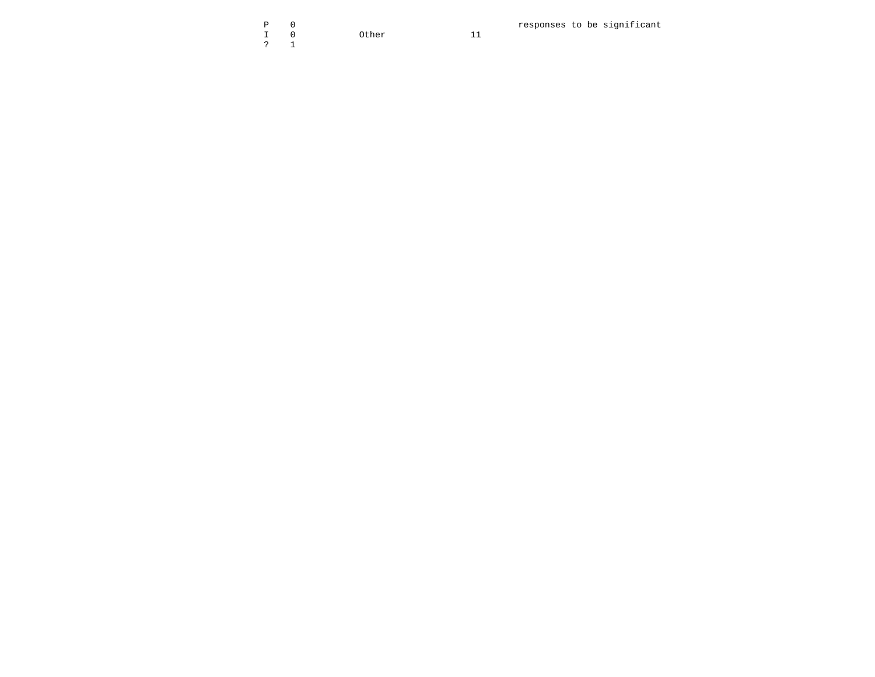$\mathsf 0$  $\, {\bf P}$  $\begin{array}{c} \mathbb{I} \\ ? \end{array}$  $\mathbb O$  $1\,$ 

Other

 $11$ 

responses to be significant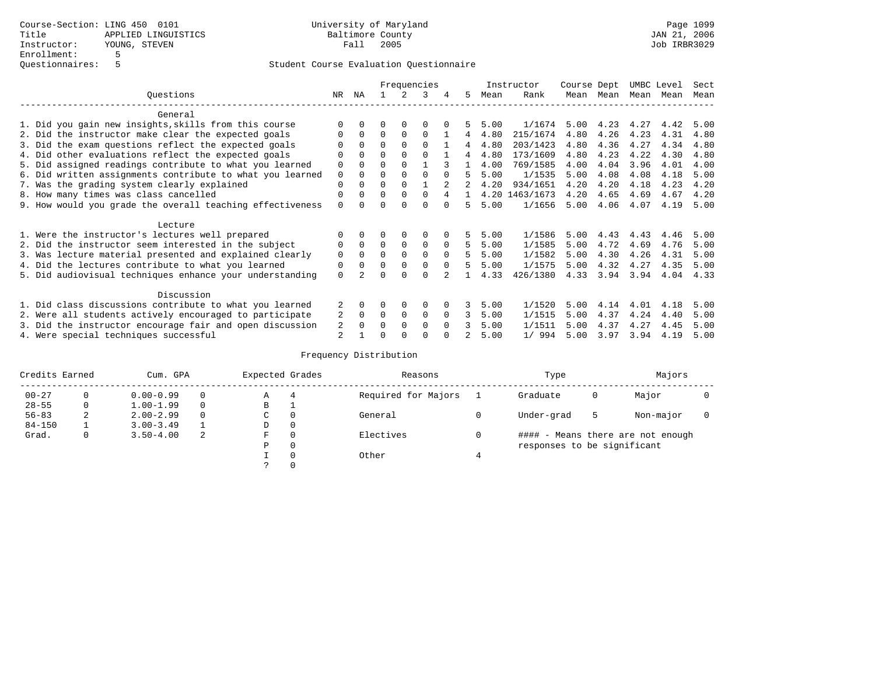|                                                           |             | Frequencies  |          |             |             |          |    |      | Instructor     | Course Dept |      | UMBC Level |      | Sect |
|-----------------------------------------------------------|-------------|--------------|----------|-------------|-------------|----------|----|------|----------------|-------------|------|------------|------|------|
| Ouestions                                                 | NR.         | ΝA           |          |             | 3           |          | 5. | Mean | Rank           | Mean        | Mean | Mean       | Mean | Mean |
| General                                                   |             |              |          |             |             |          |    |      |                |             |      |            |      |      |
| 1. Did you gain new insights, skills from this course     | $\Omega$    | $\Omega$     | O        | $\Omega$    | O           |          |    | 5.00 | 1/1674         | 5.00        | 4.23 | 4.27       | 4.42 | 5.00 |
| 2. Did the instructor make clear the expected goals       | O           | $\Omega$     | $\Omega$ | $\Omega$    | $\Omega$    |          | 4  | 4.80 | 215/1674       | 4.80        | 4.26 | 4.23       | 4.31 | 4.80 |
| 3. Did the exam questions reflect the expected goals      |             | $\Omega$     | $\Omega$ | $\Omega$    | $\Omega$    |          | 4  | 4.80 | 203/1423       | 4.80        | 4.36 | 4.27       | 4.34 | 4.80 |
| 4. Did other evaluations reflect the expected goals       | O           | $\Omega$     | $\Omega$ | $\Omega$    | $\Omega$    |          | 4  | 4.80 | 173/1609       | 4.80        | 4.23 | 4.22       | 4.30 | 4.80 |
| 5. Did assigned readings contribute to what you learned   | $\mathbf 0$ |              | $\Omega$ |             |             | ς        |    | 4.00 | 769/1585       | 4.00        | 4.04 | 3.96       | 4.01 | 4.00 |
| 6. Did written assignments contribute to what you learned | $\mathbf 0$ | $\Omega$     | $\Omega$ | $\Omega$    |             | $\Omega$ | 5  | 5.00 | 1/1535         | 5.00        | 4.08 | 4.08       | 4.18 | 5.00 |
| 7. Was the grading system clearly explained               | $\Omega$    | $\Omega$     | 0        | $\Omega$    |             |          |    | 4.20 | 934/1651       | 4.20        | 4.20 | 4.18       | 4.23 | 4.20 |
| 8. How many times was class cancelled                     | 0           | $\Omega$     | $\Omega$ | $\Omega$    | $\Omega$    | 4        |    |      | 4.20 1463/1673 | 4.20        | 4.65 | 4.69       | 4.67 | 4.20 |
| 9. How would you grade the overall teaching effectiveness | $\Omega$    | <sup>n</sup> | U        | ∩           | U           | $\cap$   | 5  | 5.00 | 1/1656         | 5.00        | 4.06 | 4.07       | 4.19 | 5.00 |
| Lecture                                                   |             |              |          |             |             |          |    |      |                |             |      |            |      |      |
| 1. Were the instructor's lectures well prepared           |             |              |          | 0           | 0           |          | 5. | 5.00 | 1/1586         | 5.00        | 4.43 | 4.43       | 4.46 | 5.00 |
| 2. Did the instructor seem interested in the subject      | 0           | $\Omega$     | $\Omega$ | $\mathbf 0$ | $\mathbf 0$ | $\Omega$ | 5. | 5.00 | 1/1585         | 5.00        | 4.72 | 4.69       | 4.76 | 5.00 |
| 3. Was lecture material presented and explained clearly   | $\mathbf 0$ | $\Omega$     | $\Omega$ | $\Omega$    | $\Omega$    | $\Omega$ | 5  | 5.00 | 1/1582         | 5.00        | 4.30 | 4.26       | 4.31 | 5.00 |
| 4. Did the lectures contribute to what you learned        | 0           | $\Omega$     | $\Omega$ | $\mathbf 0$ | $\mathbf 0$ | $\Omega$ | 5  | 5.00 | 1/1575         | 5.00        | 4.32 | 4.27       | 4.35 | 5.00 |
| 5. Did audiovisual techniques enhance your understanding  | $\Omega$    |              |          |             | $\cap$      |          |    | 4.33 | 426/1380       | 4.33        | 3.94 | 3.94       | 4.04 | 4.33 |
| Discussion                                                |             |              |          |             |             |          |    |      |                |             |      |            |      |      |
| 1. Did class discussions contribute to what you learned   |             | 0            | O        | $\Omega$    | $\Omega$    |          |    | 5.00 | 1/1520         | 5.00        | 4.14 | 4.01       | 4.18 | 5.00 |
| 2. Were all students actively encouraged to participate   |             | $\Omega$     | $\Omega$ | $\mathbf 0$ | 0           | $\Omega$ | 3  | 5.00 | 1/1515         | 5.00        | 4.37 | 4.24       | 4.40 | 5.00 |
| 3. Did the instructor encourage fair and open discussion  | 2           | $\Omega$     | 0        | $\Omega$    | $\Omega$    | $\Omega$ |    | 5.00 | 1/1511         | 5.00        | 4.37 | 4.27       | 4.45 | 5.00 |
| 4. Were special techniques successful                     | 2           |              |          |             |             |          |    | 5.00 | 1/994          | 5.00        | 3.97 | 3.94       | 4.19 | 5.00 |

| Credits Earned<br>Cum. GPA |          |               | Expected Grades |             | Reasons  |                     | Type | Majors                      |   |                                   |  |
|----------------------------|----------|---------------|-----------------|-------------|----------|---------------------|------|-----------------------------|---|-----------------------------------|--|
| $00 - 27$                  | $\Omega$ | $0.00 - 0.99$ |                 | А           | 4        | Required for Majors |      | Graduate                    | 0 | Major                             |  |
| $28 - 55$                  | 0        | $1.00 - 1.99$ |                 | В           | ÷        |                     |      |                             |   |                                   |  |
| $56 - 83$                  | 2        | $2.00 - 2.99$ |                 | $\sim$<br>◡ |          | General             |      | Under-grad                  | 5 | Non-major                         |  |
| $84 - 150$                 |          | $3.00 - 3.49$ |                 | D           | 0        |                     |      |                             |   |                                   |  |
| Grad.                      | 0        | $3.50 - 4.00$ | 2               | F           | 0        | Electives           | 0    |                             |   | #### - Means there are not enough |  |
|                            |          |               |                 | Ρ           | 0        |                     |      | responses to be significant |   |                                   |  |
|                            |          |               |                 |             | $\Omega$ | Other               |      |                             |   |                                   |  |
|                            |          |               |                 |             |          |                     |      |                             |   |                                   |  |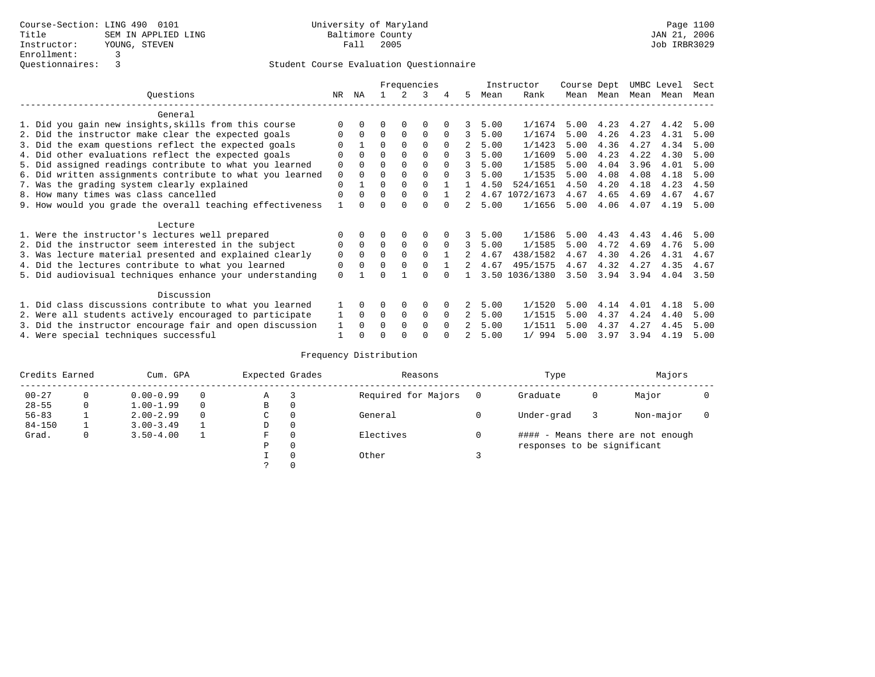|                                                           |             | Frequencies |          |             |             |          |               |      | Instructor     | Course Dept |      | UMBC Level |      | Sect |
|-----------------------------------------------------------|-------------|-------------|----------|-------------|-------------|----------|---------------|------|----------------|-------------|------|------------|------|------|
| Questions                                                 | NR          | ΝA          |          |             |             | 4        | 5             | Mean | Rank           | Mean        | Mean | Mean       | Mean | Mean |
| General                                                   |             |             |          |             |             |          |               |      |                |             |      |            |      |      |
| 1. Did you gain new insights, skills from this course     |             |             |          | $\Omega$    | O           |          |               | 5.00 | 1/1674         | 5.00        | 4.23 | 4.27       | 4.42 | 5.00 |
| 2. Did the instructor make clear the expected goals       |             | $\Omega$    | $\Omega$ | $\Omega$    | $\Omega$    |          | 3             | 5.00 | 1/1674         | 5.00        | 4.26 | 4.23       | 4.31 | 5.00 |
| 3. Did the exam questions reflect the expected goals      |             |             | 0        | $\Omega$    | $\Omega$    | $\Omega$ |               | 5.00 | 1/1423         | 5.00        | 4.36 | 4.27       | 4.34 | 5.00 |
| 4. Did other evaluations reflect the expected goals       | 0           | $\Omega$    | $\Omega$ | $\Omega$    | $\Omega$    | $\Omega$ | 3             | 5.00 | 1/1609         | 5.00        | 4.23 | 4.22       | 4.30 | 5.00 |
| 5. Did assigned readings contribute to what you learned   | $\mathbf 0$ |             |          |             | $\Omega$    | $\cap$   | 3             | 5.00 | 1/1585         | 5.00        | 4.04 | 3.96       | 4.01 | 5.00 |
| 6. Did written assignments contribute to what you learned | 0           | $\Omega$    | O        | $\Omega$    | $\Omega$    | $\Omega$ | 3             | 5.00 | 1/1535         | 5.00        | 4.08 | 4.08       | 4.18 | 5.00 |
| 7. Was the grading system clearly explained               | $\Omega$    |             | 0        | $\Omega$    | $\Omega$    |          |               | 4.50 | 524/1651       | 4.50        | 4.20 | 4.18       | 4.23 | 4.50 |
| 8. How many times was class cancelled                     | $\Omega$    | $\Omega$    | $\Omega$ | $\Omega$    | $\Omega$    |          |               |      | 4.67 1072/1673 | 4.67        | 4.65 | 4.69       | 4.67 | 4.67 |
| 9. How would you grade the overall teaching effectiveness |             |             |          |             | U           |          | $\mathcal{L}$ | 5.00 | 1/1656         | 5.00        | 4.06 | 4.07       | 4.19 | 5.00 |
| Lecture                                                   |             |             |          |             |             |          |               |      |                |             |      |            |      |      |
| 1. Were the instructor's lectures well prepared           |             |             |          |             |             |          |               | 5.00 | 1/1586         | 5.00        | 4.43 | 4.43       | 4.46 | 5.00 |
| 2. Did the instructor seem interested in the subject      | 0           | $\Omega$    | $\Omega$ | $\mathbf 0$ | $\mathbf 0$ | $\Omega$ | 3             | 5.00 | 1/1585         | 5.00        | 4.72 | 4.69       | 4.76 | 5.00 |
| 3. Was lecture material presented and explained clearly   | 0           | $\Omega$    | 0        | $\Omega$    | $\Omega$    |          |               | 4.67 | 438/1582       | 4.67        | 4.30 | 4.26       | 4.31 | 4.67 |
| 4. Did the lectures contribute to what you learned        | 0           | $\Omega$    | $\Omega$ | $\Omega$    | $\Omega$    |          |               | 4.67 | 495/1575       | 4.67        | 4.32 | 4.27       | 4.35 | 4.67 |
| 5. Did audiovisual techniques enhance your understanding  | $\Omega$    |             |          |             | $\cap$      |          |               | 3.50 | 1036/1380      | 3.50        | 3.94 | 3.94       | 4.04 | 3.50 |
| Discussion                                                |             |             |          |             |             |          |               |      |                |             |      |            |      |      |
| 1. Did class discussions contribute to what you learned   |             | 0           | 0        | $\Omega$    | $\Omega$    |          |               | 5.00 | 1/1520         | 5.00        | 4.14 | 4.01       | 4.18 | 5.00 |
| 2. Were all students actively encouraged to participate   |             | $\Omega$    | $\Omega$ | $\mathbf 0$ | 0           | $\Omega$ |               | 5.00 | 1/1515         | 5.00        | 4.37 | 4.24       | 4.40 | 5.00 |
| 3. Did the instructor encourage fair and open discussion  | 1           | $\Omega$    | O        | $\Omega$    | $\Omega$    | $\Omega$ |               | 5.00 | 1/1511         | 5.00        | 4.37 | 4.27       | 4.45 | 5.00 |
| 4. Were special techniques successful                     |             |             |          |             |             |          |               | 5.00 | 1/994          | 5.00        | 3.97 | 3.94       | 4.19 | 5.00 |

| Credits Earned |   | Cum. GPA      |          | Expected Grades |         | Reasons             |     | Type                        | Majors |                                   |  |
|----------------|---|---------------|----------|-----------------|---------|---------------------|-----|-----------------------------|--------|-----------------------------------|--|
| $00 - 27$      | 0 | $0.00 - 0.99$ | $\Omega$ | Α               | 3       | Required for Majors | - 0 | Graduate                    | 0      | Major                             |  |
| $28 - 55$      | 0 | $1.00 - 1.99$ | $\Omega$ | В               | 0       |                     |     |                             |        |                                   |  |
| $56 - 83$      |   | $2.00 - 2.99$ | $\Omega$ | C               | 0       | General             |     | Under-grad                  |        | Non-major                         |  |
| $84 - 150$     |   | $3.00 - 3.49$ |          | D               | 0       |                     |     |                             |        |                                   |  |
| Grad.          | 0 | $3.50 - 4.00$ |          | F               | 0       | Electives           |     |                             |        | #### - Means there are not enough |  |
|                |   |               |          | Ρ               | $\circ$ |                     |     | responses to be significant |        |                                   |  |
|                |   |               |          |                 | 0       | Other               |     |                             |        |                                   |  |
|                |   |               |          |                 | 0       |                     |     |                             |        |                                   |  |